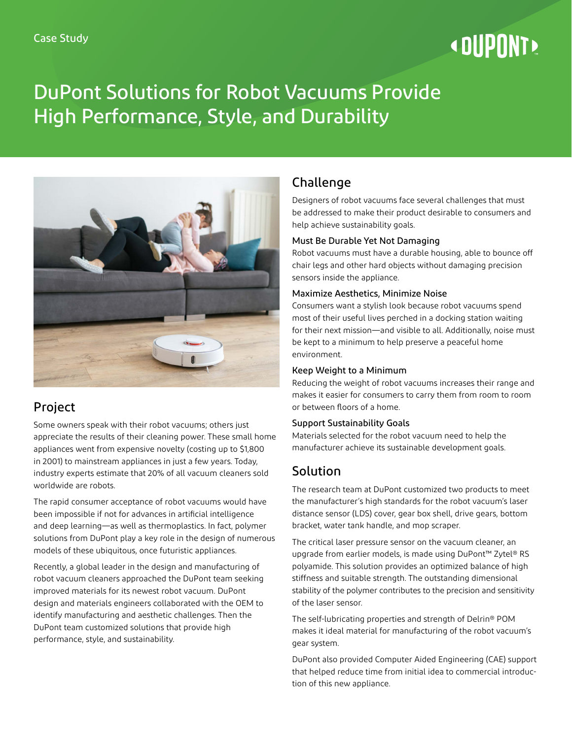# **« DUPONT »**

# DuPont Solutions for Robot Vacuums Provide High Performance, Style, and Durability



# Project

Some owners speak with their robot vacuums; others just appreciate the results of their cleaning power. These small home appliances went from expensive novelty (costing up to \$1,800 in 2001) to mainstream appliances in just a few years. Today, industry experts estimate that 20% of all vacuum cleaners sold worldwide are robots.

The rapid consumer acceptance of robot vacuums would have been impossible if not for advances in artificial intelligence and deep learning—as well as thermoplastics. In fact, polymer solutions from DuPont play a key role in the design of numerous models of these ubiquitous, once futuristic appliances.

Recently, a global leader in the design and manufacturing of robot vacuum cleaners approached the DuPont team seeking improved materials for its newest robot vacuum. DuPont design and materials engineers collaborated with the OEM to identify manufacturing and aesthetic challenges. Then the DuPont team customized solutions that provide high performance, style, and sustainability.

# Challenge

Designers of robot vacuums face several challenges that must be addressed to make their product desirable to consumers and help achieve sustainability goals.

#### Must Be Durable Yet Not Damaging

Robot vacuums must have a durable housing, able to bounce off chair legs and other hard objects without damaging precision sensors inside the appliance.

#### Maximize Aesthetics, Minimize Noise

Consumers want a stylish look because robot vacuums spend most of their useful lives perched in a docking station waiting for their next mission—and visible to all. Additionally, noise must be kept to a minimum to help preserve a peaceful home environment.

#### Keep Weight to a Minimum

Reducing the weight of robot vacuums increases their range and makes it easier for consumers to carry them from room to room or between floors of a home.

#### Support Sustainability Goals

Materials selected for the robot vacuum need to help the manufacturer achieve its sustainable development goals.

## Solution

The research team at DuPont customized two products to meet the manufacturer's high standards for the robot vacuum's laser distance sensor (LDS) cover, gear box shell, drive gears, bottom bracket, water tank handle, and mop scraper.

The critical laser pressure sensor on the vacuum cleaner, an upgrade from earlier models, is made using DuPont™ Zytel® RS polyamide. This solution provides an optimized balance of high stiffness and suitable strength. The outstanding dimensional stability of the polymer contributes to the precision and sensitivity of the laser sensor.

The self-lubricating properties and strength of Delrin® POM makes it ideal material for manufacturing of the robot vacuum's gear system.

DuPont also provided Computer Aided Engineering (CAE) support that helped reduce time from initial idea to commercial introduction of this new appliance.